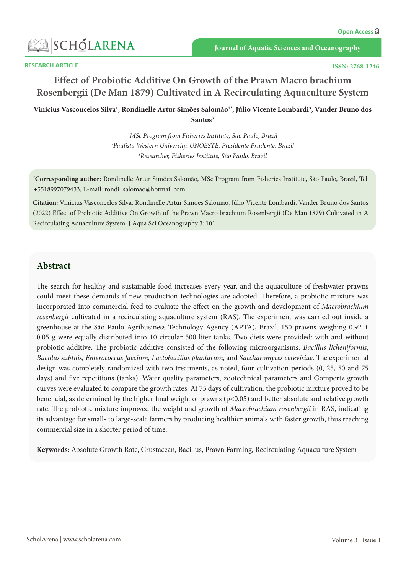

**RESEARCH ARTICLE** 

# **Effect of Probiotic Additive On Growth of the Prawn Macro brachium** Rosenbergii (De Man 1879) Cultivated in A Recirculating A quaculture System

Vinicius Vasconcelos Silva<sup>1</sup>, Rondinelle Artur Simões Salomão<sup>2\*</sup>, Júlio Vicente Lombardi<sup>3</sup>, Vander Bruno dos Santos<sup>3</sup>

> <sup>1</sup>MSc Program from Fisheries Institute, São Paulo, Brazil <sup>2</sup>Paulista Western University, UNOESTE, Presidente Prudente, Brazil <sup>3</sup> Researcher, Fisheries Institute, São Paulo, Brazil

\*Corresponding author: Rondinelle Artur Simões Salomão, MSc Program from Fisheries Institute, São Paulo, Brazil, Tel: +5518997079433, E-mail: rondi\_salomao@hotmail.com

Citation: Vinicius Vasconcelos Silva, Rondinelle Artur Simões Salomão, Júlio Vicente Lombardi, Vander Bruno dos Santos (2022) Effect of Probiotic Additive On Growth of the Prawn Macro brachium Rosenbergii (De Man 1879) Cultivated in A Recirculating Aquaculture System. J Aqua Sci Oceanography 3: 101

## **Abstract**

The search for healthy and sustainable food increases every year, and the aquaculture of freshwater prawns could meet these demands if new production technologies are adopted. Therefore, a probiotic mixture was incorporated into commercial feed to evaluate the effect on the growth and development of *Macrobrachium* rosenbergii cultivated in a recirculating aquaculture system (RAS). The experiment was carried out inside a greenhouse at the São Paulo Agribusiness Technology Agency (APTA), Brazil. 150 prawns weighing 0.92  $\pm$ 0.05 g were equally distributed into 10 circular 500-liter tanks. Two diets were provided: with and without probiotic additive. The probiotic additive consisted of the following microorganisms: *Bacillus licheniformis*, Bacillus subtilis, Enterococcus faecium, Lactobacillus plantarum, and Saccharomyces cerevisiae. The experimental design was completely randomized with two treatments, as noted, four cultivation periods (0, 25, 50 and 75 days) and five repetitions (tanks). Water quality parameters, zootechnical parameters and Gompertz growth curves were evaluated to compare the growth rates. At 75 days of cultivation, the probiotic mixture proved to be beneficial, as determined by the higher final weight of prawns ( $p<0.05$ ) and better absolute and relative growth rate. The probiotic mixture improved the weight and growth of *Macrobrachium rosenbergii* in RAS, indicating its advantage for small- to large-scale farmers by producing healthier animals with faster growth, thus reaching commercial size in a shorter period of time.

Keywords: Absolute Growth Rate, Crustacean, Bacillus, Prawn Farming, Recirculating Aquaculture System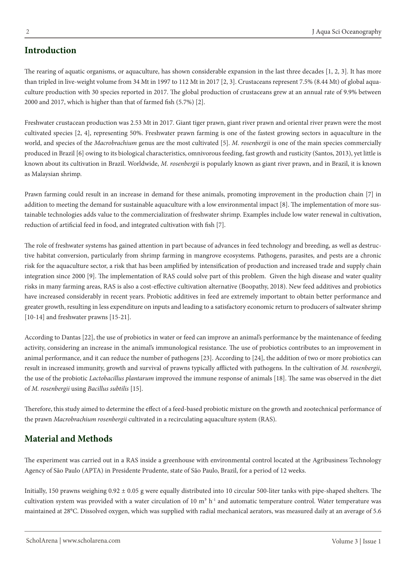The rearing of aquatic organisms, or aquaculture, has shown considerable expansion in the last three decades  $[1, 2, 3]$ . It has more culture production with 30 species reported in 2017. The global production of crustaceans grew at an annual rate of 9.9% between than tripled in live-weight volume from 34 Mt in 1997 to 112 Mt in 2017 [2, 3]. Crustaceans represent 7.5% (8.44 Mt) of global aqua-2000 and 2017, which is higher than that of farmed fish  $(5.7%)$  [2].

Freshwater crustacean production was 2.53 Mt in 2017. Giant tiger prawn, giant river prawn and oriental river prawn were the most cultivated species [2, 4], representing 50%. Freshwater prawn farming is one of the fastest growing sectors in aquaculture in the world, and species of the *Macrobrachium* genus are the most cultivated [5]. M. rosenbergii is one of the main species commercially produced in Brazil [6] owing to its biological characteristics, omnivorous feeding, fast growth and rusticity (Santos, 2013), yet little is known about its cultivation in Brazil. Worldwide, *M. rosenbergii* is popularly known as giant river prawn, and in Brazil, it is known as Malaysian shrimp.

Prawn farming could result in an increase in demand for these animals, promoting improvement in the production chain [7] in tainable technologies adds value to the commercialization of freshwater shrimp. Examples include low water renewal in cultivation, addition to meeting the demand for sustainable aquaculture with a low environmental impact [8]. The implementation of more susreduction of artificial feed in food, and integrated cultivation with fish [7].

tive habitat conversion, particularly from shrimp farming in mangrove ecosystems. Pathogens, parasites, and pests are a chronic The role of freshwater systems has gained attention in part because of advances in feed technology and breeding, as well as destrucrisk for the aquaculture sector, a risk that has been amplified by intensification of production and increased trade and supply chain integration since 2000 [9]. The implementation of RAS could solve part of this problem. Given the high disease and water quality risks in many farming areas, RAS is also a cost-effective cultivation alternative (Boopathy, 2018). New feed additives and probiotics have increased considerably in recent years. Probiotic additives in feed are extremely important to obtain better performance and greater growth, resulting in less expenditure on inputs and leading to a satisfactory economic return to producers of saltwater shrimp  $[10-14]$  and freshwater prawns  $[15-21]$ .

According to Dantas [22], the use of probiotics in water or feed can improve an animal's performance by the maintenance of feeding activity, considering an increase in the animal's immunological resistance. The use of probiotics contributes to an improvement in animal performance, and it can reduce the number of pathogens [23]. According to [24], the addition of two or more probiotics can result in increased immunity, growth and survival of prawns typically afflicted with pathogens. In the cultivation of M. rosenbergii, the use of the probiotic *Lactobacillus plantarum* improved the immune response of animals [18]. The same was observed in the diet of *M. rosenbergii* using *Bacillus* subtilis [15].

Therefore, this study aimed to determine the effect of a feed-based probiotic mixture on the growth and zootechnical performance of the prawn *Macrobrachium rosenbergii* cultivated in a recirculating a quaculture system (RAS).

## **Methods and Material**

The experiment was carried out in a RAS inside a greenhouse with environmental control located at the Agribusiness Technology Agency of São Paulo (APTA) in Presidente Prudente, state of São Paulo, Brazil, for a period of 12 weeks.

Initially, 150 prawns weighing  $0.92 \pm 0.05$  g were equally distributed into 10 circular 500-liter tanks with pipe-shaped shelters. The cultivation system was provided with a water circulation of 10  $m<sup>3</sup> h<sup>-1</sup>$  and automatic temperature control. Water temperature was maintained at 28°C. Dissolved oxygen, which was supplied with radial mechanical aerators, was measured daily at an average of 5.6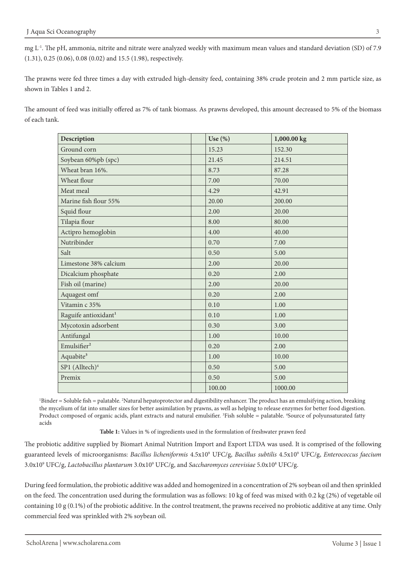mg L<sup>-1</sup>. The pH, ammonia, nitrite and nitrate were analyzed weekly with maximum mean values and standard deviation (SD) of 7.9  $(1.31)$ , 0.25  $(0.06)$ , 0.08  $(0.02)$  and 15.5  $(1.98)$ , respectively.

The prawns were fed three times a day with extruded high-density feed, containing 38% crude protein and 2 mm particle size, as shown in Tables 1 and 2.

The amount of feed was initially offered as 7% of tank biomass. As prawns developed, this amount decreased to 5% of the biomass of each tank.

| Description                      | Use $(\%)$ | 1,000.00 kg |
|----------------------------------|------------|-------------|
| Ground corn                      | 15.23      | 152.30      |
| Soybean 60%pb (spc)              | 21.45      | 214.51      |
| Wheat bran 16%.                  | 8.73       | 87.28       |
| Wheat flour                      | 7.00       | 70.00       |
| Meat meal                        | 4.29       | 42.91       |
| Marine fish flour 55%            | 20.00      | 200.00      |
| Squid flour                      | 2.00       | 20.00       |
| Tilapia flour                    | 8.00       | 80.00       |
| Actipro hemoglobin               | 4.00       | 40.00       |
| Nutribinder                      | 0.70       | 7.00        |
| Salt                             | 0.50       | 5.00        |
| Limestone 38% calcium            | 2.00       | 20.00       |
| Dicalcium phosphate              | 0.20       | 2.00        |
| Fish oil (marine)                | 2.00       | 20.00       |
| Aquagest omf                     | 0.20       | 2.00        |
| Vitamin c 35%                    | 0.10       | 1.00        |
| Raguife antioxidant <sup>1</sup> | 0.10       | 1.00        |
| Mycotoxin adsorbent              | 0.30       | 3.00        |
| Antifungal                       | 1.00       | 10.00       |
| Emulsifier <sup>2</sup>          | 0.20       | 2.00        |
| Aquabite <sup>3</sup>            | 1.00       | 10.00       |
| SP1 (Alltech) <sup>4</sup>       | 0.50       | 5.00        |
| Premix                           | 0.50       | 5.00        |
|                                  | 100.00     | 1000.00     |

'Binder = Soluble fish = palatable. <sup>2</sup>Natural hepatoprotector and digestibility enhancer. The product has an emulsifying action, breaking the mycelium of fat into smaller sizes for better assimilation by prawns, as well as helping to release enzymes for better food digestion. Product composed of organic acids, plant extracts and natural emulsifier. <sup>3</sup>Fish soluble = palatable. <sup>4</sup>Source of polyunsaturated fatty acids

Table 1: Values in % of ingredients used in the formulation of freshwater prawn feed

The probiotic additive supplied by Biomart Animal Nutrition Import and Export LTDA was used. It is comprised of the following guaranteed levels of microorganisms: *Bacillus licheniformis* 4.5x10° UFC/g, *Bacillus subtilis* 4.5x10° UFC/g, *Enterococcus faecium* 3.0x10° UFC/g, *Lactobacillus plantarum* 3.0x10° UFC/g, and *Saccharomyces cerevisiae* 5.0x10° UFC/g.

During feed formulation, the probiotic additive was added and homogenized in a concentration of 2% soybean oil and then sprinkled on the feed. The concentration used during the formulation was as follows: 10 kg of feed was mixed with 0.2 kg (2%) of vegetable oil containing 10 g (0.1%) of the probiotic additive. In the control treatment, the prawns received no probiotic additive at any time. Only commercial feed was sprinkled with 2% soybean oil.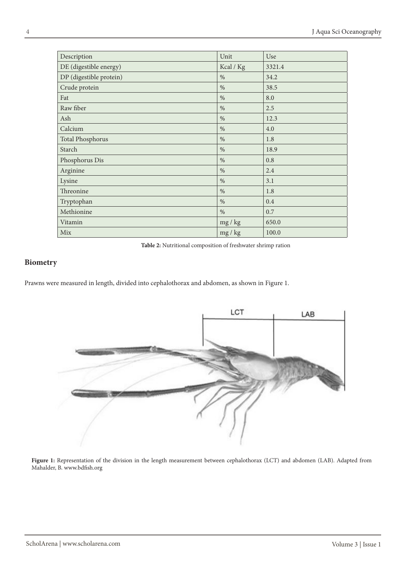| Description             | Unit          | Use    |
|-------------------------|---------------|--------|
| DE (digestible energy)  | Kcal / Kg     | 3321.4 |
| DP (digestible protein) | $\%$          | 34.2   |
| Crude protein           | $\%$          | 38.5   |
| Fat                     | $\%$          | 8.0    |
| Raw fiber               | $\%$          | 2.5    |
| Ash                     | $\%$          | 12.3   |
| Calcium                 | $\%$          | 4.0    |
| <b>Total Phosphorus</b> | $\%$          | 1.8    |
| Starch                  | $\%$          | 18.9   |
| Phosphorus Dis          | $\%$          | 0.8    |
| Arginine                | $\%$          | 2.4    |
| Lysine                  | $\%$          | 3.1    |
| Threonine               | $\frac{0}{0}$ | 1.8    |
| Tryptophan              | $\%$          | 0.4    |
| Methionine              | $\frac{0}{0}$ | 0.7    |
| Vitamin                 | mg / kg       | 650.0  |
| Mix                     | mg / kg       | 100.0  |

Table 2: Nutritional composition of freshwater shrimp ration

### **Biometry**

Prawns were measured in length, divided into cephalothorax and abdomen, as shown in Figure 1.



Figure 1: Representation of the division in the length measurement between cephalothorax (LCT) and abdomen (LAB). Adapted from Mahalder, B. www.bdfish.org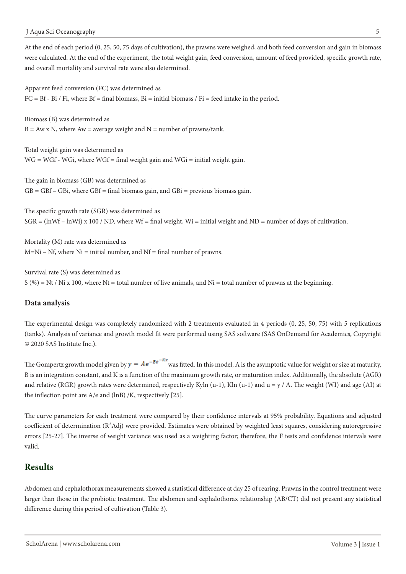At the end of each period (0, 25, 50, 75 days of cultivation), the prawns were weighed, and both feed conversion and gain in biomass were calculated. At the end of the experiment, the total weight gain, feed conversion, amount of feed provided, specific growth rate, and overall mortality and survival rate were also determined.

Apparent feed conversion (FC) was determined as  $FC = Bf - Bi / Fi$ , where  $Bf = final \text{ biomass}$ ,  $Bi = initial \text{ biomass}$  /  $Fi = feed \text{ intake in the period}$ .

Biomass (B) was determined as  $B = Aw \times N$ , where  $Aw = average$  weight and  $N = number$  of prawns/tank.

Total weight gain was determined as  $WG = WGF - WGi$ , where  $WGF = final$  weight gain and  $WGi =$  initial weight gain.

The gain in biomass (GB) was determined as  $GB = GBf - GBi$ , where  $GBf = final$  biomass gain, and  $GBi =$  previous biomass gain.

The specific growth rate (SGR) was determined as  $SGR = (lnWf - lnWi) \times 100 / ND$ , where  $Wf = final$  weight,  $Wi = initial$  weight and  $ND = number$  of days of cultivation.

Mortality (M) rate was determined as  $M=Ni - Nf$ , where  $Ni = initial number$ , and  $Nf = final number$  of prawns.

Survival rate (S) was determined as  $S(%) = Nt / Ni x 100$ , where Nt = total number of live animals, and Ni = total number of prawns at the beginning.

#### **analysis Data**

The experimental design was completely randomized with 2 treatments evaluated in 4 periods (0, 25, 50, 75) with 5 replications (tanks). Analysis of variance and growth model fit were performed using SAS software (SAS OnDemand for Academics, Copyright © 2020 SAS Institute Inc.).

The Gompertz growth model given by  $y = Ae^{-Be^{-Kx}}$  was fitted. In this model, A is the asymptotic value for weight or size at maturity, B is an integration constant, and K is a function of the maximum growth rate, or maturation index. Additionally, the absolute (AGR) and relative (RGR) growth rates were determined, respectively Kyln (u-1), Kln (u-1) and  $u = y / A$ . The weight (WI) and age (AI) at the inflection point are  $A/e$  and (lnB) /K, respectively [25].

The curve parameters for each treatment were compared by their confidence intervals at 95% probability. Equations and adjusted coefficient of determination  $(R^2 \text{Adj})$  were provided. Estimates were obtained by weighted least squares, considering autoregressive errors [25-27]. The inverse of weight variance was used as a weighting factor; therefore, the F tests and confidence intervals were .valid

### **Results**

Abdomen and cephalothorax measurements showed a statistical difference at day 25 of rearing. Prawns in the control treatment were larger than those in the probiotic treatment. The abdomen and cephalothorax relationship (AB/CT) did not present any statistical difference during this period of cultivation (Table 3).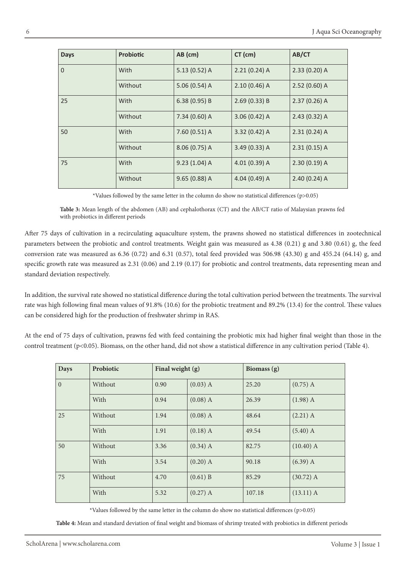| <b>Days</b>    | <b>Probiotic</b> | AB (cm)        | $CT$ (cm)      | AB/CT          |
|----------------|------------------|----------------|----------------|----------------|
| $\overline{0}$ | With             | $5.13(0.52)$ A | $2.21(0.24)$ A | $2.33(0.20)$ A |
|                | Without          | $5.06(0.54)$ A | $2.10(0.46)$ A | $2.52(0.60)$ A |
| 25             | With             | 6.38(0.95)B    | 2.69(0.33) B   | $2.37(0.26)$ A |
|                | Without          | 7.34 (0.60) A  | $3.06(0.42)$ A | 2.43(0.32)A    |
| 50             | With             | 7.60 (0.51) A  | $3.32(0.42)$ A | $2.31(0.24)$ A |
|                | Without          | 8.06 (0.75) A  | $3.49(0.33)$ A | 2.31(0.15)A    |
| 75             | With             | $9.23(1.04)$ A | 4.01 (0.39) A  | 2.30(0.19)A    |
|                | Without          | $9.65(0.88)$ A | 4.04 (0.49) A  | $2.40(0.24)$ A |

\*Values followed by the same letter in the column do show no statistical differences ( $p$ >0.05)

Table 3: Mean length of the abdomen (AB) and cephalothorax (CT) and the AB/CT ratio of Malaysian prawns fed with probiotics in different periods

After 75 days of cultivation in a recirculating aquaculture system, the prawns showed no statistical differences in zootechnical parameters between the probiotic and control treatments. Weight gain was measured as  $4.38$  (0.21) g and  $3.80$  (0.61) g, the feed conversion rate was measured as 6.36 (0.72) and 6.31 (0.57), total feed provided was 506.98 (43.30) g and 455.24 (64.14) g, and specific growth rate was measured as  $2.31$  (0.06) and  $2.19$  (0.17) for probiotic and control treatments, data representing mean and standard deviation respectively.

In addition, the survival rate showed no statistical difference during the total cultivation period between the treatments. The survival rate was high following final mean values of 91.8% (10.6) for the probiotic treatment and 89.2% (13.4) for the control. These values can be considered high for the production of freshwater shrimp in RAS.

At the end of 75 days of cultivation, prawns fed with feed containing the probiotic mix had higher final weight than those in the control treatment (p<0.05). Biomass, on the other hand, did not show a statistical difference in any cultivation period (Table 4).

| <b>Days</b>  | Probiotic | Final weight (g) |            | Biomass (g) |             |
|--------------|-----------|------------------|------------|-------------|-------------|
| $\mathbf{0}$ | Without   | 0.90             | $(0.03)$ A | 25.20       | $(0.75)$ A  |
|              | With      | 0.94             | $(0.08)$ A | 26.39       | $(1.98)$ A  |
| 25           | Without   | 1.94             | $(0.08)$ A | 48.64       | $(2.21)$ A  |
|              | With      | 1.91             | $(0.18)$ A | 49.54       | $(5.40)$ A  |
| 50           | Without   | 3.36             | $(0.34)$ A | 82.75       | $(10.40)$ A |
|              | With      | 3.54             | $(0.20)$ A | 90.18       | $(6.39)$ A  |
| 75           | Without   | 4.70             | (0.61) B   | 85.29       | $(30.72)$ A |
|              | With      | 5.32             | $(0.27)$ A | 107.18      | $(13.11)$ A |

\*Values followed by the same letter in the column do show no statistical differences ( $p$ >0.05)

Table 4: Mean and standard deviation of final weight and biomass of shrimp treated with probiotics in different periods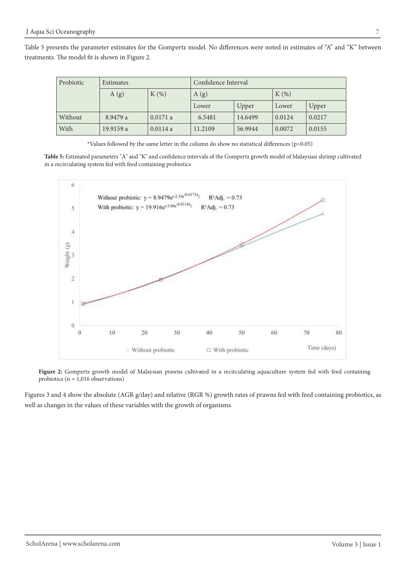Table 5 presents the parameter estimates for the Gompertz model. No differences were noted in estimates of "A" and "K" between treatments. The model fit is shown in Figure 2.

| Probiotic | Estimates |         | Confidence Interval |         |         |        |
|-----------|-----------|---------|---------------------|---------|---------|--------|
|           | A(g)      | $K(\%)$ | A(g)                |         | $K(\%)$ |        |
|           |           |         | Lower               | Upper   | Lower   | Upper  |
| Without   | 8.9479 a  | 0.0171a | 6.5481              | 14.6499 | 0.0124  | 0.0217 |
| With      | 19.9159 a | 0.0114a | 11.2109             | 56.9944 | 0.0072  | 0.0155 |

\*Values followed by the same letter in the column do show no statistical differences ( $p$ >0.05)

Table 5: Estimated parameters "A" and "K" and confidence intervals of the Gompertz growth model of Malaysian shrimp cultivated in a recirculating system fed with feed containing probiotics



Figure 2: Gompertz growth model of Malaysian prawns cultivated in a recirculating aquaculture system fed with feed containing probiotics ( $n = 1,016$  observations)

Figures 3 and 4 show the absolute (AGR g/day) and relative (RGR %) growth rates of prawns fed with feed containing probiotics, as well as changes in the values of these variables with the growth of organisms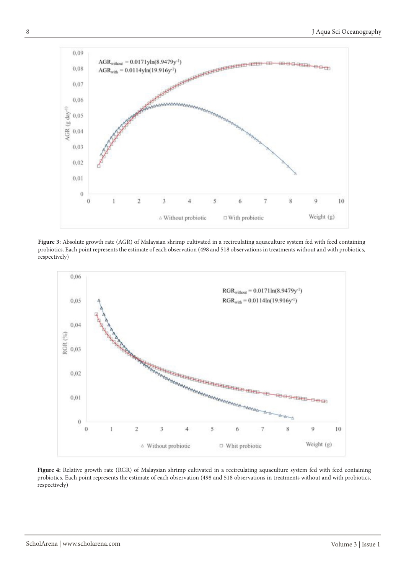

Figure 3: Absolute growth rate (AGR) of Malaysian shrimp cultivated in a recirculating aquaculture system fed with feed containing probiotics. Each point represents the estimate of each observation (498 and 518 observations in treatments without and with probiotics, respectively)



Figure 4: Relative growth rate (RGR) of Malaysian shrimp cultivated in a recirculating aquaculture system fed with feed containing probiotics. Each point represents the estimate of each observation (498 and 518 observations in treatments without and with probiotics, respectively)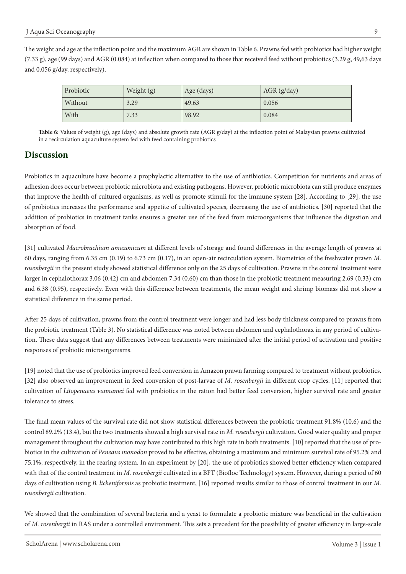The weight and age at the inflection point and the maximum AGR are shown in Table 6. Prawns fed with probiotics had higher weight  $(7.33 \text{ g})$ , age (99 days) and AGR (0.084) at inflection when compared to those that received feed without probiotics  $(3.29 \text{ g}, 49.63 \text{ days})$ and  $0.056$  g/day, respectively).

| Probiotic | Weight (g) | Age (days) | $AGR$ (g/day) |
|-----------|------------|------------|---------------|
| Without   | 3.29       | 49.63      | 0.056         |
| With      | 7.33       | 98.92      | 0.084         |

Table 6: Values of weight (g), age (days) and absolute growth rate (AGR g/day) at the inflection point of Malaysian prawns cultivated in a recirculation aquaculture system fed with feed containing probiotics

## **Discussion**

Probiotics in aquaculture have become a prophylactic alternative to the use of antibiotics. Competition for nutrients and areas of adhesion does occur between probiotic microbiota and existing pathogens. However, probiotic microbiota can still produce enzymes that improve the health of cultured organisms, as well as promote stimuli for the immune system  $[28]$ . According to  $[29]$ , the use of probiotics increases the performance and appetite of cultivated species, decreasing the use of antibiotics. [30] reported that the addition of probiotics in treatment tanks ensures a greater use of the feed from microorganisms that influence the digestion and absorption of food.

[31] cultivated *Macrobrachium amazonicum* at different levels of storage and found differences in the average length of prawns at 60 days, ranging from 6.35 cm (0.19) to 6.73 cm (0.17), in an open-air recirculation system. Biometrics of the freshwater prawn M. rosenbergii in the present study showed statistical difference only on the 25 days of cultivation. Prawns in the control treatment were larger in cephalothorax 3.06 (0.42) cm and abdomen 7.34 (0.60) cm than those in the probiotic treatment measuring 2.69 (0.33) cm and 6.38 (0.95), respectively. Even with this difference between treatments, the mean weight and shrimp biomass did not show a statistical difference in the same period.

After 25 days of cultivation, prawns from the control treatment were longer and had less body thickness compared to prawns from tion. These data suggest that any differences between treatments were minimized after the initial period of activation and positive the probiotic treatment (Table 3). No statistical difference was noted between abdomen and cephalothorax in any period of cultivaresponses of probiotic microorganisms.

[19] noted that the use of probiotics improved feed conversion in Amazon prawn farming compared to treatment without probiotics. [32] also observed an improvement in feed conversion of post-larvae of M. rosenbergii in different crop cycles. [11] reported that cultivation of Litopenaeus vannamei fed with probiotics in the ration had better feed conversion, higher survival rate and greater tolerance to stress.

The final mean values of the survival rate did not show statistical differences between the probiotic treatment 91.8% (10.6) and the control 89.2% (13.4), but the two treatments showed a high survival rate in *M. rosenbergii* cultivation. Good water quality and proper biotics in the cultivation of Peneaus monodon proved to be effective, obtaining a maximum and minimum survival rate of 95.2% and management throughout the cultivation may have contributed to this high rate in both treatments. [10] reported that the use of pro-75.1%, respectively, in the rearing system. In an experiment by [20], the use of probiotics showed better efficiency when compared with that of the control treatment in M. rosenbergii cultivated in a BFT (Biofloc Technology) system. However, during a period of 60 days of cultivation using *B. licheniformis* as probiotic treatment, [16] reported results similar to those of control treatment in our *M*.  $rosenbergii$  cultivation.

We showed that the combination of several bacteria and a yeast to formulate a probiotic mixture was beneficial in the cultivation of *M. rosenbergii* in RAS under a controlled environment. This sets a precedent for the possibility of greater efficiency in large-scale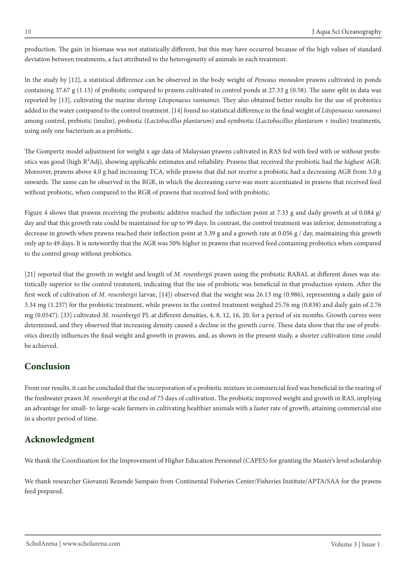production. The gain in biomass was not statistically different, but this may have occurred because of the high values of standard deviation between treatments, a fact attributed to the heterogeneity of animals in each treatment.

In the study by [12], a statistical difference can be observed in the body weight of *Peneaus monodon* prawns cultivated in ponds containing 37.67 g (1.15) of probiotic compared to prawns cultivated in control ponds at 27.33 g (0.58). The same split in data was reported by [13], cultivating the marine shrimp Litopenaeus vannamei. They also obtained better results for the use of probiotics *added to the water compared to the control treatment.* [14] found no statistical difference in the final weight of *Litopenaeus vannamei* among control, prebiotic (inulin), probiotic (Lactobacillus plantarum) and symbiotic (Lactobacillus plantarum + inulin) treatments, using only one bacterium as a probiotic.

The Gompertz model adjustment for weight x age data of Malaysian prawns cultivated in RAS fed with feed with or without probi-<br>otics was good (high R<sup>2</sup>Adj), showing applicable estimates and reliability. Prawns that receiv Moreover, prawns above 4.0 g had increasing TCA, while prawns that did not receive a probiotic had a decreasing AGR from 3.0 g onwards. The same can be observed in the RGR, in which the decreasing curve was more accentuated in prawns that received feed without probiotic, when compared to the RGR of prawns that received feed with probiotic.

Figure 4 shows that prawns receiving the probiotic additive reached the inflection point at 7.33 g and daily growth at of 0.084 g/ day and that this growth rate could be maintained for up to 99 days. In contrast, the control treatment was inferior, demonstrating a decrease in growth when prawns reached their inflection point at 3.39 g and a growth rate at 0.056 g / day, maintaining this growth only up to 49 days. It is noteworthy that the AGR was 50% higher in prawns that received feed containing probiotics when compared to the control group without probiotics.

tistically superior to the control treatment, indicating that the use of probiotic was beneficial in that production system. After the [21] reported that the growth in weight and length of M. rosenbergii prawn using the probiotic RABAL at different doses was stafirst week of cultivation of *M. rosenbergii* larvae, [14]) observed that the weight was 26.13 mg (0.986), representing a daily gain of 3.34 mg (1.237) for the probiotic treatment, while prawns in the control treatment weighed 25.76 mg (0.838) and daily gain of 2.76 mg (0.0547). [33] cultivated *M. rosenbergii* PL at different densities, 4, 8, 12, 16, 20, for a period of six months. Growth curves were otics directly influences the final weight and growth in prawns, and, as shown in the present study, a shorter cultivation time could determined, and they observed that increasing density caused a decline in the growth curve. These data show that the use of probibe achieved.

## **Conclusion**

From our results, it can be concluded that the incorporation of a probiotic mixture in commercial feed was beneficial in the rearing of the freshwater prawn *M. rosenbergii* at the end of 75 days of cultivation. The probiotic improved weight and growth in RAS, implying an advantage for small- to large-scale farmers in cultivating healthier animals with a faster rate of growth, attaining commercial size in a shorter period of time.

## **Acknowledgment**

We thank the Coordination for the Improvement of Higher Education Personnel (CAPES) for granting the Master's level scholarship

We thank researcher Giovanni Rezende Sampaio from Continental Fisheries Center/Fisheries Institute/APTA/SAA for the prawns feed prepared.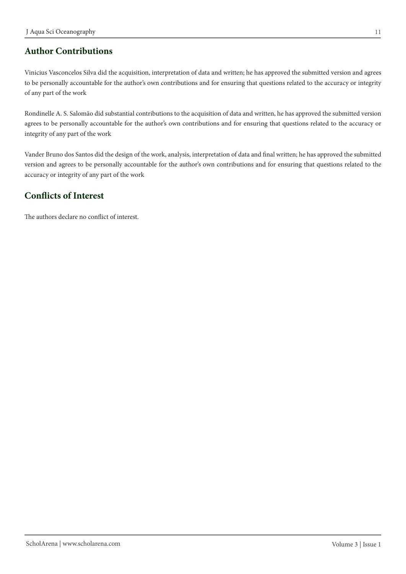## **Author Contributions**

Vinicius Vasconcelos Silva did the acquisition, interpretation of data and written; he has approved the submitted version and agrees to be personally accountable for the author's own contributions and for ensuring that questions related to the accuracy or integrity of any part of the work

Rondinelle A. S. Salomão did substantial contributions to the acquisition of data and written, he has approved the submitted version agrees to be personally accountable for the author's own contributions and for ensuring that questions related to the accuracy or integrity of any part of the work

Vander Bruno dos Santos did the design of the work, analysis, interpretation of data and final written; he has approved the submitted version and agrees to be personally accountable for the author's own contributions and for ensuring that questions related to the accuracy or integrity of any part of the work

### **Conflicts of Interest**

The authors declare no conflict of interest.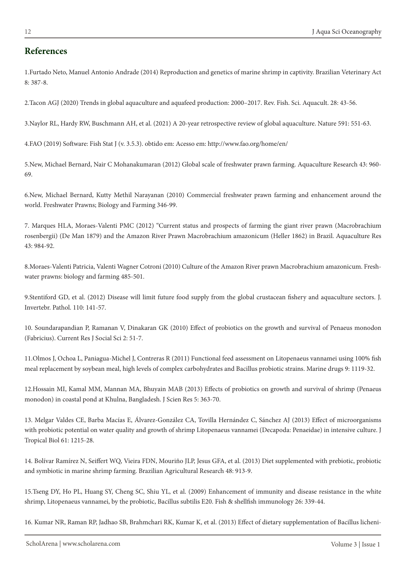### **References**

1. Furtado Neto, Manuel Antonio Andrade (2014) Reproduction and genetics of marine shrimp in captivity. Brazilian Veterinary Act 8: 387-8.

2. Tacon AGJ (2020) Trends in global aquaculture and aquafeed production: 2000–2017. Rev. Fish. Sci. Aquacult. 28: 43-56.

3. Naylor RL, Hardy RW, Buschmann AH, et al. (2021) A 20-year retrospective review of global aquaculture. Nature 591: 551-63.

4.FAO (2019) Software: Fish Stat J (v. 3.5.3). obtido em: Acesso em: http://www.fao.org/home/en/

5. New, Michael Bernard, Nair C Mohanakumaran (2012) Global scale of freshwater prawn farming. Aquaculture Research 43: 960-69.

6. New, Michael Bernard, Kutty Methil Narayanan (2010) Commercial freshwater prawn farming and enhancement around the world. Freshwater Prawns; Biology and Farming 346-99.

7. Marques HLA, Moraes-Valenti PMC (2012) "Current status and prospects of farming the giant river prawn (Macrobrachium rosenbergii) (De Man 1879) and the Amazon River Prawn Macrobrachium amazonicum (Heller 1862) in Brazil. Aquaculture Res 984-92. 43:

8.Moraes-Valenti Patricia, Valenti Wagner Cotroni (2010) Culture of the Amazon River prawn Macrobrachium amazonicum. Fresh-<br>water prawns: biology and farming 485-501.

9.Stentiford GD, et al. (2012) Disease will limit future food supply from the global crustacean fishery and aquaculture sectors. J. Invertebr. Pathol. 110: 141-57.

10. Soundarapandian P, Ramanan V, Dinakaran GK (2010) Effect of probiotics on the growth and survival of Penaeus monodon (Fabricius). Current Res J Social Sci 2: 51-7.

11.Olmos J, Ochoa L, Paniagua-Michel J, Contreras R (2011) Functional feed assessment on Litopenaeus vannamei using 100% fish meal replacement by soybean meal, high levels of complex carbohydrates and Bacillus probiotic strains. Marine drugs 9: 1119-32.

12. Hossain MI, Kamal MM, Mannan MA, Bhuyain MAB (2013) Effects of probiotics on growth and survival of shrimp (Penaeus monodon) in coastal pond at Khulna, Bangladesh. J Scien Res 5: 363-70.

13. Melgar Valdes CE, Barba Macías E, Álvarez-González CA, Tovilla Hernández C, Sánchez AJ (2013) Effect of microorganisms with probiotic potential on water quality and growth of shrimp Litopenaeus vannamei (Decapoda: Penaeidae) in intensive culture. J Tropical Biol 61: 1215-28.

14. Bolívar Ramírez N, Seiffert WQ, Vieira FDN, Mouriño JLP, Jesus GFA, et al. (2013) Diet supplemented with prebiotic, probiotic and symbiotic in marine shrimp farming. Brazilian Agricultural Research 48: 913-9.

15. Tseng DY, Ho PL, Huang SY, Cheng SC, Shiu YL, et al. (2009) Enhancement of immunity and disease resistance in the white shrimp, Litopenaeus vannamei, by the probiotic, Bacillus subtilis E20. Fish & shellfish immunology 26: 339-44.

16. Kumar NR, Raman RP, Jadhao SB, Brahmchari RK, Kumar K, et al. (2013) Effect of dietary supplementation of Bacillus licheni-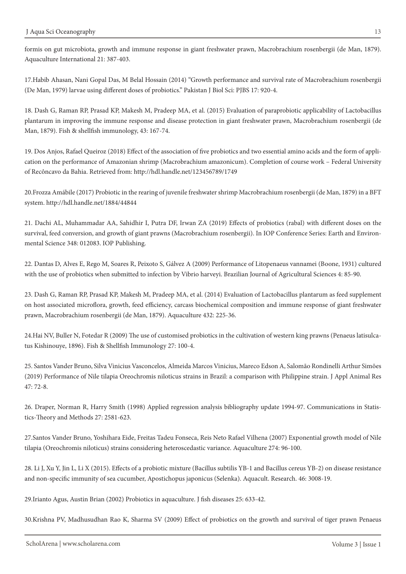formis on gut microbiota, growth and immune response in giant freshwater prawn, Macrobrachium rosenbergii (de Man, 1879). Aquaculture International 21: 387-403.

17. Habib Ahasan, Nani Gopal Das, M Belal Hossain (2014) "Growth performance and survival rate of Macrobrachium rosenbergii (De Man, 1979) larvae using different doses of probiotics." Pakistan J Biol Sci: PJBS 17: 920-4.

18. Dash G, Raman RP, Prasad KP, Makesh M, Pradeep MA, et al. (2015) Evaluation of paraprobiotic applicability of Lactobacillus plantarum in improving the immune response and disease protection in giant freshwater prawn, Macrobrachium rosenbergii (de Man, 1879). Fish & shellfish immunology, 43: 167-74.

19. Dos Anjos, Rafael Queiroz (2018) Effect of the association of five probiotics and two essential amino acids and the form of application on the performance of Amazonian shrimp (Macrobrachium amazonicum). Completion of c of Recôncavo da Bahia. Retrieved from: http://hdl.handle.net/123456789/1749

20. Frozza Amábile (2017) Probiotic in the rearing of juvenile freshwater shrimp Macrobrachium rosenbergii (de Man, 1879) in a BFT system. http://hdl.handle.net/1884/44844

21. Dachi AL, Muhammadar AA, Sahidhir I, Putra DF, Irwan ZA (2019) Effects of probiotics (rabal) with different doses on the survival, feed conversion, and growth of giant prawns (Macrobrachium rosenbergii). In IOP Conference Series: Earth and Environ-<br>mental Science 348: 012083. IOP Publishing.

22. Dantas D, Alves E, Rego M, Soares R, Peixoto S, Gálvez A (2009) Performance of Litopenaeus vannamei (Boone, 1931) cultured with the use of probiotics when submitted to infection by Vibrio harveyi. Brazilian Journal of Agricultural Sciences 4: 85-90.

23. Dash G, Raman RP, Prasad KP, Makesh M, Pradeep MA, et al. (2014) Evaluation of Lactobacillus plantarum as feed supplement on host associated microflora, growth, feed efficiency, carcass biochemical composition and immune response of giant freshwater prawn, Macrobrachium rosenbergii (de Man, 1879). Aquaculture 432: 225-36.

24.Hai NV, Buller N, Fotedar R (2009) The use of customised probiotics in the cultivation of western king prawns (Penaeus latisulca-<br>tus Kishinouye, 1896). Fish & Shellfish Immunology 27: 100-4.

25. Santos Vander Bruno, Silva Vinicius Vasconcelos, Almeida Marcos Vinicius, Mareco Edson A, Salomão Rondinelli Arthur Simões (2019) Performance of Nile tilapia Oreochromis niloticus strains in Brazil: a comparison with Philippine strain. J Appl Animal Res 47: 72-8.

26. Draper, Norman R, Harry Smith (1998) Applied regression analysis bibliography update 1994-97. Communications in Statis-<br>tics-Theory and Methods 27: 2581-623.

27. Santos Vander Bruno, Yoshihara Eide, Freitas Tadeu Fonseca, Reis Neto Rafael Vilhena (2007) Exponential growth model of Nile tilapia (Oreochromis niloticus) strains considering heteroscedastic variance. Aquaculture 274: 96-100.

28. Li J, Xu Y, Jin L, Li X (2015). Effects of a probiotic mixture (Bacillus subtilis YB-1 and Bacillus cereus YB-2) on disease resistance and non-specific immunity of sea cucumber, Apostichopus japonicus (Selenka). Aquacult. Research. 46: 3008-19.

29. Irianto Agus, Austin Brian (2002) Probiotics in aquaculture. J fish diseases 25: 633-42.

30. Krishna PV, Madhusudhan Rao K, Sharma SV (2009) Effect of probiotics on the growth and survival of tiger prawn Penaeus